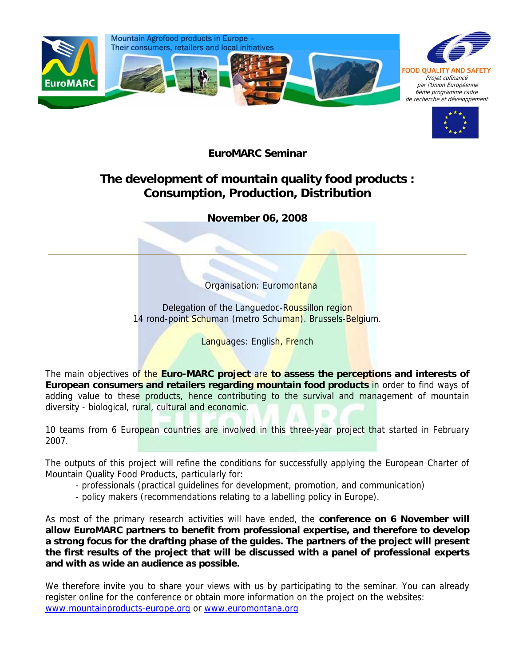



**EuroMARC Seminar** 

## **The development of mountain quality food products : Consumption, Production, Distribution**

**November 06, 2008** 

Organisation: Euromontana

Delegation of the Languedoc-Roussillon region 14 rond-point Schuman (metro Schuman). Brussels-Belgium.

Languages: English, French

The main objectives of the **Euro-MARC project** are **to assess the perceptions and interests of European consumers and retailers regarding mountain food products** in order to find ways of adding value to these products, hence contributing to the survival and management of mountain diversity - biological, rural, cultural and economic.

10 teams from 6 European countries are involved in this three-year project that started in February 2007.

The outputs of this project will refine the conditions for successfully applying the European Charter of Mountain Quality Food Products, particularly for:

- professionals (practical guidelines for development, promotion, and communication)
- policy makers (recommendations relating to a labelling policy in Europe).

As most of the primary research activities will have ended, the **conference on 6 November will allow EuroMARC partners to benefit from professional expertise, and therefore to develop a strong focus for the drafting phase of the guides. The partners of the project will present the first results of the project that will be discussed with a panel of professional experts and with as wide an audience as possible.** 

We therefore invite you to share your views with us by participating to the seminar. You can already register online for the conference or obtain more information on the project on the websites: www.mountainproducts-europe.org or www.euromontana.org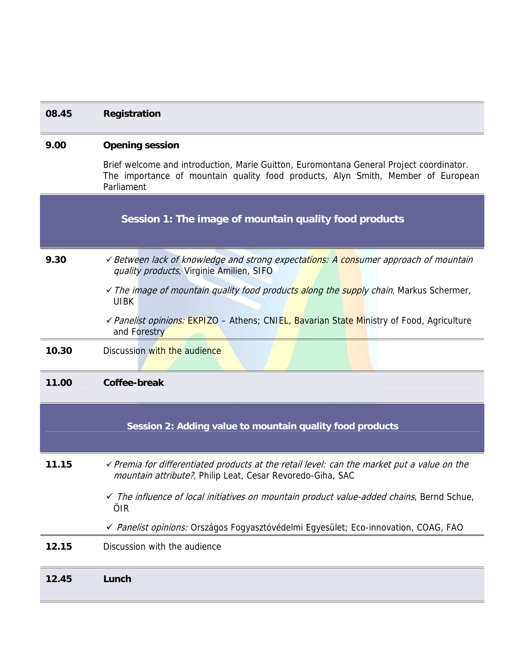| 9.00  | <b>Opening session</b>                                                                                                                                                                    |
|-------|-------------------------------------------------------------------------------------------------------------------------------------------------------------------------------------------|
|       | Brief welcome and introduction, Marie Guitton, Euromontana General Project coordinator.<br>The importance of mountain quality food products, Alyn Smith, Member of European<br>Parliament |
|       | Session 1: The image of mountain quality food products                                                                                                                                    |
| 9.30  | √ Between lack of knowledge and strong expectations: A consumer approach of mountain<br>quality products, Virginie Amilien, SIFO                                                          |
|       | √ The image of mountain quality food products along the supply chain, Markus Schermer,<br><b>UIBK</b>                                                                                     |
|       | √ Panelist opinions: EKPIZO - Athens; CNIEL, Bavarian State Ministry of Food, Agriculture<br>and Forestry                                                                                 |
| 10.30 | Discussion with the audience                                                                                                                                                              |
| 11.00 | Coffee-break                                                                                                                                                                              |
|       | Session 2: Adding value to mountain quality food products                                                                                                                                 |
| 11.15 | √ Premia for differentiated products at the retail level: can the market put a value on the<br>mountain attribute?, Philip Leat, Cesar Revoredo-Giha, SAC                                 |
|       | $\checkmark$ The influence of local initiatives on mountain product value-added chains, Bernd Schue,<br>ÖIR                                                                               |
|       | √ Panelist opinions: Országos Fogyasztóvédelmi Egyesület; Eco-innovation, COAG, FAO                                                                                                       |
| 12.15 | Discussion with the audience                                                                                                                                                              |
| 12.45 | Lunch                                                                                                                                                                                     |

**08.45 Registration**